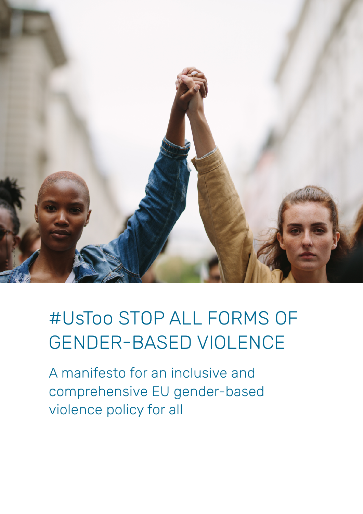

# #UsToo STOP ALL FORMS OF GENDER-BASED VIOLENCE

A manifesto for an inclusive and comprehensive EU gender-based violence policy for all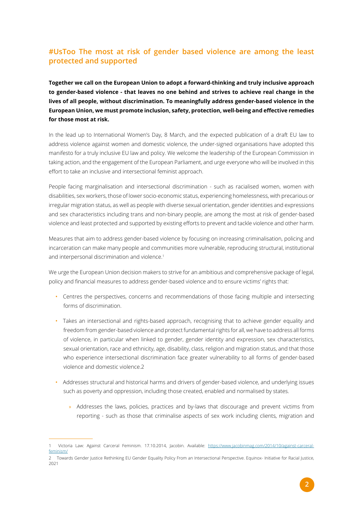# **#UsToo The most at risk of gender based violence are among the least protected and supported**

**Together we call on the European Union to adopt a forward-thinking and truly inclusive approach to gender-based violence - that leaves no one behind and strives to achieve real change in the lives of all people, without discrimination. To meaningfully address gender-based violence in the European Union, we must promote inclusion, safety, protection, well-being and effective remedies for those most at risk.**

In the lead up to International Women's Day, 8 March, and the expected publication of a draft EU law to address violence against women and domestic violence, the under-signed organisations have adopted this manifesto for a truly inclusive EU law and policy. We welcome the leadership of the European Commission in taking action, and the engagement of the European Parliament, and urge everyone who will be involved in this effort to take an inclusive and intersectional feminist approach.

People facing marginalisation and intersectional discrimination - such as racialised women, women with disabilities, sex workers, those of lower socio-economic status, experiencing homelessness, with precarious or irregular migration status, as well as people with diverse sexual orientation, gender identities and expressions and sex characteristics including trans and non-binary people, are among the most at risk of gender-based violence and least protected and supported by existing efforts to prevent and tackle violence and other harm.

Measures that aim to address gender-based violence by focusing on increasing criminalisation, policing and incarceration can make many people and communities more vulnerable, reproducing structural, institutional and interpersonal discrimination and violence.<sup>1</sup>

We urge the European Union decision makers to strive for an ambitious and comprehensive package of legal, policy and financial measures to address gender-based violence and to ensure victims' rights that:

- Centres the perspectives, concerns and recommendations of those facing multiple and intersecting forms of discrimination.
- Takes an intersectional and rights-based approach, recognising that to achieve gender equality and freedom from gender-based violence and protect fundamental rights for all, we have to address all forms of violence, in particular when linked to gender, gender identity and expression, sex characteristics, sexual orientation, race and ethnicity, age, disability, class, religion and migration status, and that those who experience intersectional discrimination face greater vulnerability to all forms of gender-based violence and domestic violence.2
- Addresses structural and historical harms and drivers of gender-based violence, and underlying issues such as poverty and oppression, including those created, enabled and normalised by states.
	- » Addresses the laws, policies, practices and by-laws that discourage and prevent victims from reporting - such as those that criminalise aspects of sex work including clients, migration and

<sup>1</sup> Victoria Law: Against Carceral Feminism. 17.10.2014, Jacobin. Available: [https://www.jacobinmag.com/2014/10/against-carceral](https://www.jacobinmag.com/2014/10/against-carceral-feminism/)[feminism/](https://www.jacobinmag.com/2014/10/against-carceral-feminism/)

<sup>2</sup> Towards Gender Justice Rethinking EU Gender Equality Policy From an Intersectional Perspective. Equinox- Initiative for Racial Justice, 2021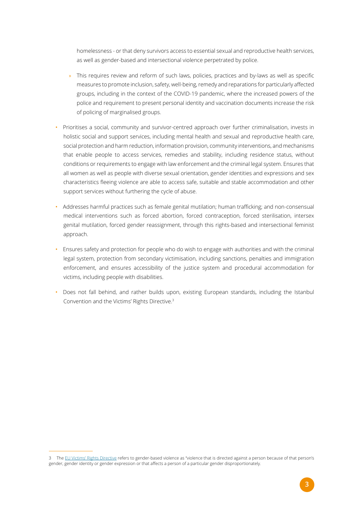homelessness - or that deny survivors access to essential sexual and reproductive health services, as well as gender-based and intersectional violence perpetrated by police.

- » This requires review and reform of such laws, policies, practices and by-laws as well as specific measures to promote inclusion, safety, well-being, remedy and reparations for particularly affected groups, including in the context of the COVID-19 pandemic, where the increased powers of the police and requirement to present personal identity and vaccination documents increase the risk of policing of marginalised groups.
- Prioritises a social, community and survivor-centred approach over further criminalisation, invests in holistic social and support services, including mental health and sexual and reproductive health care, social protection and harm reduction, information provision, community interventions, and mechanisms that enable people to access services, remedies and stability, including residence status, without conditions or requirements to engage with law enforcement and the criminal legal system. Ensures that all women as well as people with diverse sexual orientation, gender identities and expressions and sex characteristics fleeing violence are able to access safe, suitable and stable accommodation and other support services without furthering the cycle of abuse.
- Addresses harmful practices such as female genital mutilation; human trafficking; and non-consensual medical interventions such as forced abortion, forced contraception, forced sterilisation, intersex genital mutilation, forced gender reassignment, through this rights-based and intersectional feminist approach.
- Ensures safety and protection for people who do wish to engage with authorities and with the criminal legal system, protection from secondary victimisation, including sanctions, penalties and immigration enforcement, and ensures accessibility of the justice system and procedural accommodation for victims, including people with disabilities.
- Does not fall behind, and rather builds upon, existing European standards, including the Istanbul Convention and the Victims' Rights Directive.<sup>3</sup>

<sup>3</sup> The [EU Victims' Rights Directive](https://eur-lex.europa.eu/legal-content/EN/TXT/?uri=celex%3A32012L0029) refers to gender-based violence as "violence that is directed against a person because of that person's gender, gender identity or gender expression or that affects a person of a particular gender disproportionately.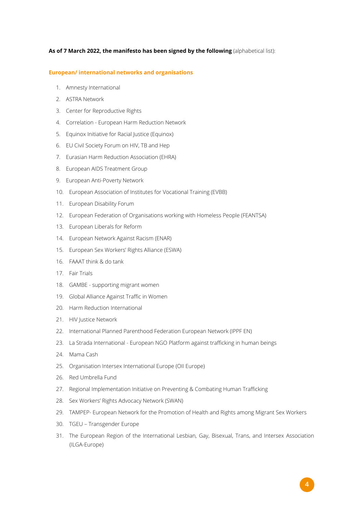## **As of 7 March 2022, the manifesto has been signed by the following** (alphabetical list):

#### **European/ international networks and organisations**

- 1. Amnesty International
- 2. ASTRA Network
- 3. Center for Reproductive Rights
- 4. Correlation European Harm Reduction Network
- 5. Equinox Initiative for Racial Justice (Equinox)
- 6. EU Civil Society Forum on HIV, TB and Hep
- 7. Eurasian Harm Reduction Association (EHRA)
- 8. European AIDS Treatment Group
- 9. European Anti-Poverty Network
- 10. European Association of Institutes for Vocational Training (EVBB)
- 11. European Disability Forum
- 12. European Federation of Organisations working with Homeless People (FEANTSA)
- 13. European Liberals for Reform
- 14. European Network Against Racism (ENAR)
- 15. European Sex Workers' Rights Alliance (ESWA)
- 16. FAAAT think & do tank
- 17. Fair Trials
- 18. GAMBE supporting migrant women
- 19. Global Alliance Against Traffic in Women
- 20. Harm Reduction International
- 21. HIV Justice Network
- 22. International Planned Parenthood Federation European Network (IPPF EN)
- 23. La Strada International European NGO Platform against trafficking in human beings
- 24. Mama Cash
- 25. Organisation Intersex International Europe (OII Europe)
- 26. Red Umbrella Fund
- 27. Regional Implementation Initiative on Preventing & Combating Human Trafficking
- 28. Sex Workers' Rights Advocacy Network (SWAN)
- 29. TAMPEP- European Network for the Promotion of Health and Rights among Migrant Sex Workers
- 30. TGEU Transgender Europe
- 31. The European Region of the International Lesbian, Gay, Bisexual, Trans, and Intersex Association (ILGA-Europe)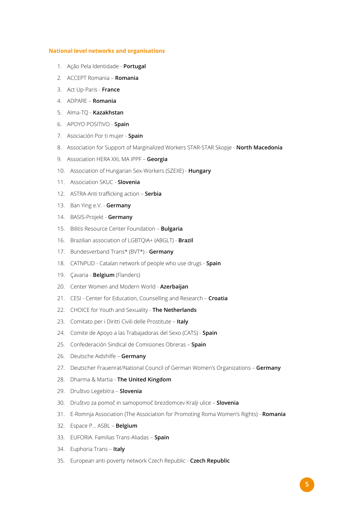### **National level networks and organisations**

- 1. Ação Pela Identidade **Portugal**
- 2. ACCEPT Romania **Romania**
- 3. Act Up-Paris **France**
- 4. ADPARE **Romania**
- 5. Alma-TQ **Kazakhstan**
- 6. APOYO POSITIVO **Spain**
- 7. Asociación Por ti mujer **Spain**
- 8. Association for Support of Marginalized Workers STAR-STAR Skopje **North Macedonia**
- 9. Association HERA XXI, MA IPPF **Georgia**
- 10. Association of Hungarian Sex-Workers (SZEXE) **Hungary**
- 11. Association SKUC **Slovenia**
- 12. ASTRA-Anti trafficking action **Serbia**
- 13. Ban Ying e.V. **Germany**
- 14. BASIS-Projekt **Germany**
- 15. Bilitis Resource Center Foundation **Bulgaria**
- 16. Brazilian association of LGBTQIA+ (ABGLT) **Brazil**
- 17. Bundesverband Trans\* (BVT\*) **Germany**
- 18. CATNPUD Catalan network of people who use drugs **Spain**
- 19. Çavaria **Belgium** (Flanders)
- 20. Center Women and Modern World **Azerbaijan**
- 21. CESI Center for Education, Counselling and Research **Croatia**
- 22. CHOICE for Youth and Sexuality **The Netherlands**
- 23. Comitato per i Diritti Civili delle Prostitute **Italy**
- 24. Comite de Apoyo a las Trabajadoras del Sexo (CATS) **Spain**
- 25. Confederación Sindical de Comisiones Obreras **Spain**
- 26. Deutsche Aidshilfe **Germany**
- 27. Deutscher Frauenrat/National Council of German Women's Organizations **Germany**
- 28. Dharma & Martia **The United Kingdom**
- 29. Društvo Legebitra **Slovenia**
- 30. Društvo za pomoč in samopomoč brezdomcev Kralji ulice **Slovenia**
- 31. E-Romnja Association (The Association for Promoting Roma Women's Rights) **Romania**
- 32. Espace P... ASBL **Belgium**
- 33. EUFORIA. Familias Trans-Aliadas **Spain**
- 34. Euphoria Trans **Italy**
- 35. European anti-poverty network Czech Republic **Czech Republic**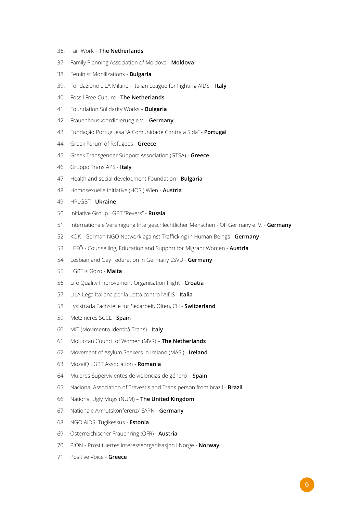- 36. Fair Work **The Netherlands**
- 37. Family Planning Association of Moldova **Moldova**
- 38. Feminist Mobilizations **Bulgaria**
- 39. Fondazione LILA Milano Italian League for Fighting AIDS **Italy**
- 40. Fossil Free Culture **The Netherlands**
- 41. Foundation Solidarity Works **Bulgaria**
- 42. Frauenhauskoordinierung e.V. **Germany**
- 43. Fundação Portuguesa "A Comunidade Contra a Sida" **Portugal**
- 44. Greek Forum of Refugees **Greece**
- 45. Greek Transgender Support Association (GTSA) **Greece**
- 46. Gruppo Trans APS **Italy**
- 47. Health and social development Foundation **Bulgaria**
- 48. Homosexuelle Initiative (HOSI) Wien **Austria**
- 49. HPLGBT **Ukraine**
- 50. Initiative Group LGBT "Revers" **Russia**
- 51. Internationale Vereinigung Intergeschlechtlicher Menschen OII Germany e. V. **Germany**
- 52. KOK German NGO Network against Trafficking in Human Beings **Germany**
- 53. LEFÖ Counselling, Education and Support for Migrant Women **Austria**
- 54. Lesbian and Gay Federation in Germany LSVD **Germany**
- 55. LGBTI+ Gozo **Malta**
- 56. Life Quality Improvement Organisation Flight **Croatia**
- 57. LILA Lega Italiana per la Lotta contro l'AIDS **Italia**
- 58. Lysistrada Fachstelle für Sexarbeit, Olten, CH **Switzerland**
- 59. Metzineres SCCL **Spain**
- 60. MIT (Movimento Identità Trans) **Italy**
- 61. Moluccan Council of Women (MVR) **The Netherlands**
- 62. Movement of Asylum Seekers in Ireland (MASI) **Ireland**
- 63. MozaiQ LGBT Association **Romania**
- 64. Mujeres Supervivientes de violencias de género **Spain**
- 65. Nacional Association of Travestis and Trans person from brazil **Brazil**
- 66. National Ugly Mugs (NUM) **The United Kingdom**
- 67. Nationale Armutskonferenz/ EAPN **Germany**
- 68. NGO AIDSi Tugikeskus **Estonia**
- 69. Österreichischer Frauenring (ÖFR) **Austria**
- 70. PION Prostituertes interesseorganisasjon i Norge **Norway**
- 71. Positive Voice **Greece**